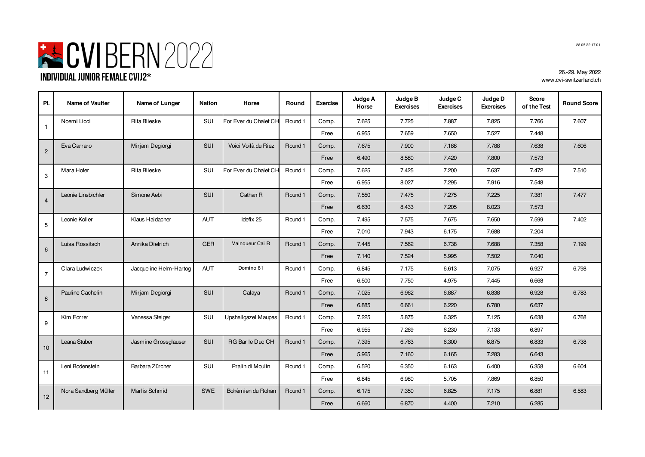

| PI.            | Name of Vaulter      | Name of Lunger         | <b>Nation</b> | Horse                 | Round   | <b>Exercise</b> | Judge A<br>Horse | Judge B<br><b>Exercises</b> | Judge C<br><b>Exercises</b> | Judge D<br><b>Exercises</b> | Score<br>of the Test | <b>Round Score</b> |
|----------------|----------------------|------------------------|---------------|-----------------------|---------|-----------------|------------------|-----------------------------|-----------------------------|-----------------------------|----------------------|--------------------|
| $\mathbf{1}$   | Noemi Licci          | <b>Rita Blieske</b>    | <b>SUI</b>    | For Ever du Chalet CH | Round 1 | Comp.           | 7.625            | 7.725                       | 7.887                       | 7.825                       | 7.766                | 7.607              |
|                |                      |                        |               |                       |         | Free            | 6.955            | 7.659                       | 7.650                       | 7.527                       | 7.448                |                    |
| $\overline{2}$ | Eva Carraro          | Mirjam Degiorgi        | <b>SUI</b>    | Voici Voilà du Riez   | Round 1 | Comp.           | 7.675            | 7.900                       | 7.188                       | 7.788                       | 7.638                | 7.606              |
|                |                      |                        |               |                       |         | Free            | 6.490            | 8.580                       | 7.420                       | 7.800                       | 7.573                |                    |
| 3              | Mara Hofer           | <b>Rita Blieske</b>    | <b>SUI</b>    | For Ever du Chalet CH | Round 1 | Comp.           | 7.625            | 7.425                       | 7.200                       | 7.637                       | 7.472                | 7.510              |
|                |                      |                        |               |                       |         | Free            | 6.955            | 8.027                       | 7.295                       | 7.916                       | 7.548                |                    |
| $\overline{4}$ | Leonie Linsbichler   | Simone Aebi            | <b>SUI</b>    | Cathan R              | Round 1 | Comp.           | 7.550            | 7.475                       | 7.275                       | 7.225                       | 7.381                | 7.477              |
|                |                      |                        |               |                       |         | Free            | 6.630            | 8.433                       | 7.205                       | 8.023                       | 7.573                |                    |
| 5              | Leonie Koller        | Klaus Haidacher        | AUT           | Idefix 25             | Round 1 | Comp.           | 7.495            | 7.575                       | 7.675                       | 7.650                       | 7.599                | 7.402              |
|                |                      |                        |               |                       |         | Free            | 7.010            | 7.943                       | 6.175                       | 7.688                       | 7.204                |                    |
| 6              | Luisa Rossitsch      | Annika Dietrich        | <b>GER</b>    | Vainqueur Cai R       | Round 1 | Comp.           | 7.445            | 7.562                       | 6.738                       | 7.688                       | 7.358                | 7.199              |
|                |                      |                        |               |                       |         | Free            | 7.140            | 7.524                       | 5.995                       | 7.502                       | 7.040                |                    |
| $\overline{7}$ | Clara Ludwiczek      | Jacqueline Helm-Hartog | AUT           | Domino 61             | Round 1 | Comp.           | 6.845            | 7.175                       | 6.613                       | 7.075                       | 6.927                | 6.798              |
|                |                      |                        |               |                       |         | Free            | 6.500            | 7.750                       | 4.975                       | 7.445                       | 6.668                |                    |
| 8              | Pauline Cachelin     | Mirjam Degiorgi        | SUI           | Calaya                | Round 1 | Comp.           | 7.025            | 6.962                       | 6.887                       | 6.838                       | 6.928                | 6.783              |
|                |                      |                        |               |                       |         | Free            | 6.885            | 6.661                       | 6.220                       | 6.780                       | 6.637                |                    |
| 9              | Kim Forrer           | Vanessa Steiger        | SUI           | Upshallgazel Maupas   | Round 1 | Comp.           | 7.225            | 5.875                       | 6.325                       | 7.125                       | 6.638                | 6.768              |
|                |                      |                        |               |                       |         | Free            | 6.955            | 7.269                       | 6.230                       | 7.133                       | 6.897                |                    |
| 10             | Leana Stuber         | Jasmine Grossglauser   | <b>SUI</b>    | RG Bar le Duc CH      | Round 1 | Comp.           | 7.395            | 6.763                       | 6.300                       | 6.875                       | 6.833                | 6.738              |
|                |                      |                        |               |                       |         | Free            | 5.965            | 7.160                       | 6.165                       | 7.283                       | 6.643                |                    |
| 11             | Leni Bodenstein      | Barbara Zürcher        | SUI           | Pralin di Moulin      | Round 1 | Comp.           | 6.520            | 6.350                       | 6.163                       | 6.400                       | 6.358                | 6.604              |
|                |                      |                        |               |                       |         | Free            | 6.845            | 6.980                       | 5.705                       | 7.869                       | 6.850                |                    |
|                | Nora Sandberg Müller | Marlis Schmid          | SWE           | Bohèmien du Rohan     | Round 1 | Comp.           | 6.175            | 7.350                       | 6.825                       | 7.175                       | 6.881                | 6.583              |
| 12             |                      |                        |               |                       |         | Free            | 6.660            | 6.870                       | 4.400                       | 7.210                       | 6.285                |                    |

28.05.22 17:01

26.-29. May 2022 www.cvi-switzerland.ch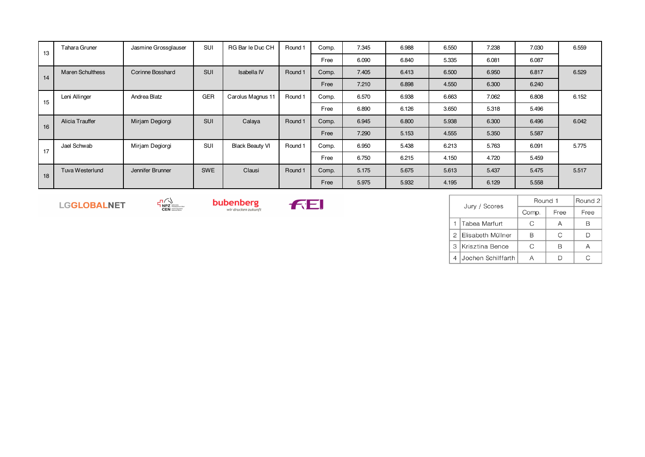| 13 | Tahara Gruner           | Jasmine Grossglauser | SUI        | RG Bar le Duc CH       | Round 1 | Comp. | 7.345 | 6.988 | 6.550 | 7.238 | 7.030 | 6.559 |
|----|-------------------------|----------------------|------------|------------------------|---------|-------|-------|-------|-------|-------|-------|-------|
|    |                         |                      |            |                        |         | Free  | 6.090 | 6.840 | 5.335 | 6.081 | 6.087 |       |
| 14 | <b>Maren Schulthess</b> | Corinne Bosshard     | SUI        | Isabella IV            | Round 1 | Comp. | 7.405 | 6.413 | 6.500 | 6.950 | 6.817 | 6.529 |
|    |                         |                      |            |                        |         | Free  | 7.210 | 6.898 | 4.550 | 6.300 | 6.240 |       |
| 15 | Leni Allinger           | Andrea Blatz         | <b>GER</b> | Carolus Magnus 11      | Round 1 | Comp. | 6.570 | 6.938 | 6.663 | 7.062 | 6.808 | 6.152 |
|    |                         |                      |            |                        |         | Free  | 6.890 | 6.126 | 3.650 | 5.318 | 5.496 |       |
| 16 | Alicia Trauffer         | Mirjam Degiorgi      | SUI        | Calaya                 | Round 1 | Comp. | 6.945 | 6.800 | 5.938 | 6.300 | 6.496 | 6.042 |
|    |                         |                      |            |                        |         | Free  | 7.290 | 5.153 | 4.555 | 5.350 | 5.587 |       |
| 17 | Jael Schwab             | Mirjam Degiorgi      | SUI        | <b>Black Beauty VI</b> | Round 1 | Comp. | 6.950 | 5.438 | 6.213 | 5.763 | 6.091 | 5.775 |
|    |                         |                      |            |                        |         | Free  | 6.750 | 6.215 | 4.150 | 4.720 | 5.459 |       |
| 18 | Tuva Westerlund         | Jennifer Brunner     | <b>SWE</b> | Clausi                 | Round 1 | Comp. | 5.175 | 5.675 | 5.613 | 5.437 | 5.475 | 5.517 |
|    |                         |                      |            |                        |         | Free  | 5.975 | 5.932 | 4.195 | 6.129 | 5.558 |       |

**FE.** 

LGGLOBALNET